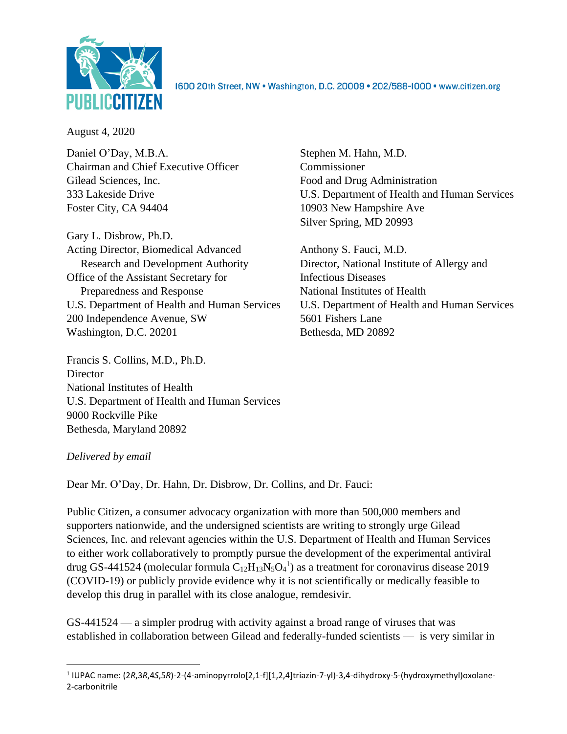

1600 20th Street, NW . Washington, D.C. 20009 . 202/588-1000 . www.citizen.org

August 4, 2020

Daniel O'Day, M.B.A. Stephen M. Hahn, M.D. Chairman and Chief Executive Officer Commissioner Gilead Sciences, Inc. Food and Drug Administration Foster City, CA 94404 10903 New Hampshire Ave

Gary L. Disbrow, Ph.D. Acting Director, Biomedical Advanced Anthony S. Fauci, M.D. Research and Development Authority Director, National Institute of Allergy and Office of the Assistant Secretary for Infectious Diseases Preparedness and Response National Institutes of Health 200 Independence Avenue, SW 5601 Fishers Lane Washington, D.C. 20201 Bethesda, MD 20892

Francis S. Collins, M.D., Ph.D. **Director** National Institutes of Health U.S. Department of Health and Human Services 9000 Rockville Pike Bethesda, Maryland 20892

# 333 Lakeside Drive U.S. Department of Health and Human Services Silver Spring, MD 20993

U.S. Department of Health and Human Services U.S. Department of Health and Human Services

### *Delivered by email*

Dear Mr. O'Day, Dr. Hahn, Dr. Disbrow, Dr. Collins, and Dr. Fauci:

Public Citizen, a consumer advocacy organization with more than 500,000 members and supporters nationwide, and the undersigned scientists are writing to strongly urge Gilead Sciences, Inc. and relevant agencies within the U.S. Department of Health and Human Services to either work collaboratively to promptly pursue the development of the experimental antiviral drug GS-441524 (molecular formula  $C_{12}H_{13}N_5O_4^1$ ) as a treatment for coronavirus disease 2019 (COVID-19) or publicly provide evidence why it is not scientifically or medically feasible to develop this drug in parallel with its close analogue, remdesivir.

GS-441524 — a simpler prodrug with activity against a broad range of viruses that was established in collaboration between Gilead and federally-funded scientists — is very similar in

<sup>1</sup> IUPAC name: (2*R*,3*R*,4*S*,5*R*)-2-(4-aminopyrrolo[2,1-f][1,2,4]triazin-7-yl)-3,4-dihydroxy-5-(hydroxymethyl)oxolane-2-carbonitrile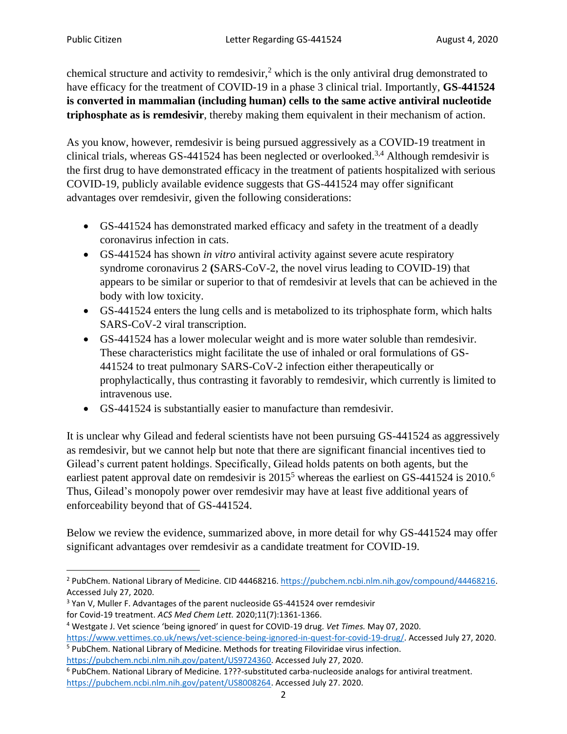chemical structure and activity to remdesivir,<sup>2</sup> which is the only antiviral drug demonstrated to have efficacy for the treatment of COVID-19 in a phase 3 clinical trial. Importantly, **GS-441524 is converted in mammalian (including human) cells to the same active antiviral nucleotide triphosphate as is remdesivir**, thereby making them equivalent in their mechanism of action.

As you know, however, remdesivir is being pursued aggressively as a COVID-19 treatment in clinical trials, whereas GS-441524 has been neglected or overlooked.<sup>3,4</sup> Although remdesivir is the first drug to have demonstrated efficacy in the treatment of patients hospitalized with serious COVID-19, publicly available evidence suggests that GS-441524 may offer significant advantages over remdesivir, given the following considerations:

- GS-441524 has demonstrated marked efficacy and safety in the treatment of a deadly coronavirus infection in cats.
- GS-441524 has shown *in vitro* antiviral activity against severe acute respiratory syndrome coronavirus 2 **(**SARS-CoV-2, the novel virus leading to COVID-19) that appears to be similar or superior to that of remdesivir at levels that can be achieved in the body with low toxicity.
- GS-441524 enters the lung cells and is metabolized to its triphosphate form, which halts SARS-CoV-2 viral transcription.
- GS-441524 has a lower molecular weight and is more water soluble than remdesivir. These characteristics might facilitate the use of inhaled or oral formulations of GS-441524 to treat pulmonary SARS-CoV-2 infection either therapeutically or prophylactically, thus contrasting it favorably to remdesivir, which currently is limited to intravenous use.
- GS-441524 is substantially easier to manufacture than remdesivir.

It is unclear why Gilead and federal scientists have not been pursuing GS-441524 as aggressively as remdesivir, but we cannot help but note that there are significant financial incentives tied to Gilead's current patent holdings. Specifically, Gilead holds patents on both agents, but the earliest patent approval date on remdesivir is 2015<sup>5</sup> whereas the earliest on GS-441524 is 2010.<sup>6</sup> Thus, Gilead's monopoly power over remdesivir may have at least five additional years of enforceability beyond that of GS-441524.

Below we review the evidence, summarized above, in more detail for why GS-441524 may offer significant advantages over remdesivir as a candidate treatment for COVID-19.

<sup>&</sup>lt;sup>2</sup> PubChem. National Library of Medicine. CID 44468216. [https://pubchem.ncbi.nlm.nih.gov/compound/44468216.](https://pubchem.ncbi.nlm.nih.gov/compound/44468216) Accessed July 27, 2020.

<sup>&</sup>lt;sup>3</sup> Yan V, Muller F. Advantages of the parent nucleoside GS-441524 over remdesivir for Covid-19 treatment. *ACS Med Chem Lett.* 2020;11(7):1361-1366.

<sup>4</sup> Westgate J. Vet science 'being ignored' in quest for COVID-19 drug. *Vet Times.* May 07, 2020. [https://www.vettimes.co.uk/news/vet-science-being-ignored-in-quest-for-covid-19-drug/.](https://www.vettimes.co.uk/news/vet-science-being-ignored-in-quest-for-covid-19-drug/) Accessed July 27, 2020.

<sup>5</sup> PubChem. National Library of Medicine. Methods for treating Filoviridae virus infection.

[https://pubchem.ncbi.nlm.nih.gov/patent/US9724360.](https://pubchem.ncbi.nlm.nih.gov/patent/US9724360) Accessed July 27, 2020.

<sup>6</sup> PubChem. National Library of Medicine. 1???-substituted carba-nucleoside analogs for antiviral treatment. [https://pubchem.ncbi.nlm.nih.gov/patent/US8008264.](https://pubchem.ncbi.nlm.nih.gov/patent/US8008264) Accessed July 27. 2020.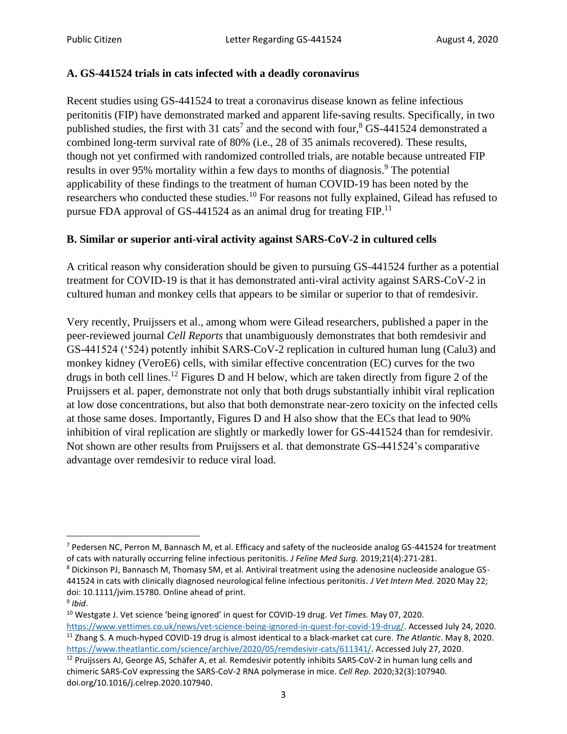#### **A. GS-441524 trials in cats infected with a deadly coronavirus**

Recent studies using GS-441524 to treat a coronavirus disease known as feline infectious peritonitis (FIP) have demonstrated marked and apparent life-saving results. Specifically, in two published studies, the first with 31 cats<sup>7</sup> and the second with four,<sup>8</sup> GS-441524 demonstrated a combined long-term survival rate of 80% (i.e., 28 of 35 animals recovered). These results, though not yet confirmed with randomized controlled trials, are notable because untreated FIP results in over 95% mortality within a few days to months of diagnosis.<sup>9</sup> The potential applicability of these findings to the treatment of human COVID-19 has been noted by the researchers who conducted these studies.<sup>10</sup> For reasons not fully explained, Gilead has refused to pursue FDA approval of GS-441524 as an animal drug for treating FIP.<sup>11</sup>

### **B. Similar or superior anti-viral activity against SARS-CoV-2 in cultured cells**

A critical reason why consideration should be given to pursuing GS-441524 further as a potential treatment for COVID-19 is that it has demonstrated anti-viral activity against SARS-CoV-2 in cultured human and monkey cells that appears to be similar or superior to that of remdesivir.

Very recently, Pruijssers et al., among whom were Gilead researchers, published a paper in the peer-reviewed journal *Cell Reports* that unambiguously demonstrates that both remdesivir and GS-441524 ('524) potently inhibit SARS-CoV-2 replication in cultured human lung (Calu3) and monkey kidney (VeroE6) cells, with similar effective concentration (EC) curves for the two drugs in both cell lines.<sup>12</sup> Figures D and H below, which are taken directly from figure 2 of the Pruijssers et al. paper, demonstrate not only that both drugs substantially inhibit viral replication at low dose concentrations, but also that both demonstrate near-zero toxicity on the infected cells at those same doses. Importantly, Figures D and H also show that the ECs that lead to 90% inhibition of viral replication are slightly or markedly lower for GS-441524 than for remdesivir. Not shown are other results from Pruijssers et al. that demonstrate GS-441524's comparative advantage over remdesivir to reduce viral load.

 $7$  Pedersen NC, Perron M, Bannasch M, et al. Efficacy and safety of the nucleoside analog GS-441524 for treatment of cats with naturally occurring feline infectious peritonitis. *J Feline Med Surg.* 2019;21(4):271-281.

<sup>8</sup> Dickinson PJ, Bannasch M, Thomasy SM, et al. Antiviral treatment using the adenosine nucleoside analogue GS-441524 in cats with clinically diagnosed neurological feline infectious peritonitis. *J Vet Intern Med.* 2020 May 22; doi: 10.1111/jvim.15780. Online ahead of print. 9 *Ibid*.

<sup>10</sup> Westgate J. Vet science 'being ignored' in quest for COVID-19 drug. *Vet Times.* May 07, 2020.

[https://www.vettimes.co.uk/news/vet-science-being-ignored-in-quest-for-covid-19-drug/.](https://www.vettimes.co.uk/news/vet-science-being-ignored-in-quest-for-covid-19-drug/) Accessed July 24, 2020. <sup>11</sup> Zhang S. A much-hyped COVID-19 drug is almost identical to a black-market cat cure. *The Atlantic*. May 8, 2020. [https://www.theatlantic.com/science/archive/2020/05/remdesivir-cats/611341/.](https://www.theatlantic.com/science/archive/2020/05/remdesivir-cats/611341/) Accessed July 27, 2020.

<sup>&</sup>lt;sup>12</sup> Pruijssers AJ, George AS, Schäfer A, et al. Remdesivir potently inhibits SARS-CoV-2 in human lung cells and chimeric SARS-CoV expressing the SARS-CoV-2 RNA polymerase in mice. *Cell Rep.* 2020;32(3):107940. doi.org/10.1016/j.celrep.2020.107940.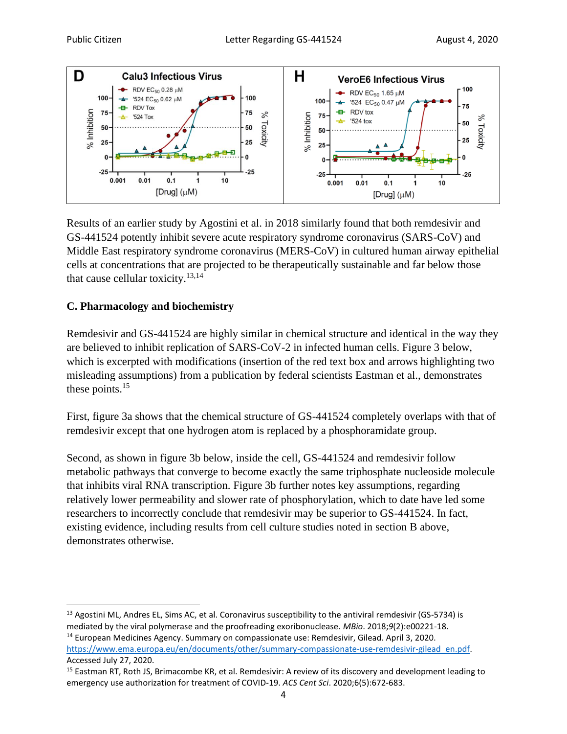

Results of an earlier study by Agostini et al. in 2018 similarly found that both remdesivir and GS-441524 potently inhibit severe acute respiratory syndrome coronavirus (SARS-CoV) and Middle East respiratory syndrome coronavirus (MERS-CoV) in cultured human airway epithelial cells at concentrations that are projected to be therapeutically sustainable and far below those that cause cellular toxicity.<sup>13,14</sup>

### **C. Pharmacology and biochemistry**

Remdesivir and GS-441524 are highly similar in chemical structure and identical in the way they are believed to inhibit replication of SARS-CoV-2 in infected human cells. Figure 3 below, which is excerpted with modifications (insertion of the red text box and arrows highlighting two misleading assumptions) from a publication by federal scientists Eastman et al., demonstrates these points.<sup>15</sup>

First, figure 3a shows that the chemical structure of GS-441524 completely overlaps with that of remdesivir except that one hydrogen atom is replaced by a phosphoramidate group.

Second, as shown in figure 3b below, inside the cell, GS-441524 and remdesivir follow metabolic pathways that converge to become exactly the same triphosphate nucleoside molecule that inhibits viral RNA transcription. Figure 3b further notes key assumptions, regarding relatively lower permeability and slower rate of phosphorylation, which to date have led some researchers to incorrectly conclude that remdesivir may be superior to GS-441524. In fact, existing evidence, including results from cell culture studies noted in section B above, demonstrates otherwise.

<sup>&</sup>lt;sup>13</sup> Agostini ML, Andres EL, Sims AC, et al. Coronavirus susceptibility to the antiviral remdesivir (GS-5734) is mediated by the viral polymerase and the proofreading exoribonuclease. *MBio*. 2018;*9*(2):e00221-18.

<sup>14</sup> European Medicines Agency. Summary on compassionate use: Remdesivir, Gilead. April 3, 2020. [https://www.ema.europa.eu/en/documents/other/summary-compassionate-use-remdesivir-gilead\\_en.pdf.](https://www.ema.europa.eu/en/documents/other/summary-compassionate-use-remdesivir-gilead_en.pdf)

Accessed July 27, 2020.

<sup>&</sup>lt;sup>15</sup> Eastman RT, Roth JS, Brimacombe KR, et al. Remdesivir: A review of its discovery and development leading to emergency use authorization for treatment of COVID-19. *ACS Cent Sci*. 2020;6(5):672-683.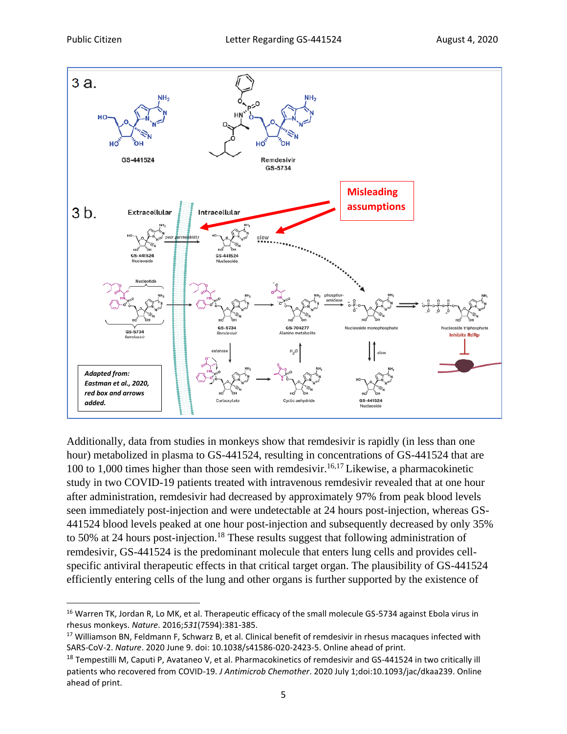

Additionally, data from studies in monkeys show that remdesivir is rapidly (in less than one hour) metabolized in plasma to GS-441524, resulting in concentrations of GS-441524 that are 100 to 1,000 times higher than those seen with remdesivir.<sup>16,17</sup> Likewise, a pharmacokinetic study in two COVID-19 patients treated with intravenous remdesivir revealed that at one hour after administration, remdesivir had decreased by approximately 97% from peak blood levels seen immediately post-injection and were undetectable at 24 hours post-injection, whereas GS-441524 blood levels peaked at one hour post-injection and subsequently decreased by only 35% to 50% at 24 hours post-injection.<sup>18</sup> These results suggest that following administration of remdesivir, GS-441524 is the predominant molecule that enters lung cells and provides cellspecific antiviral therapeutic effects in that critical target organ. The plausibility of GS-441524 efficiently entering cells of the lung and other organs is further supported by the existence of

<sup>&</sup>lt;sup>16</sup> Warren TK, Jordan R, Lo MK, et al. Therapeutic efficacy of the small molecule GS-5734 against Ebola virus in rhesus monkeys. *Nature*. 2016;*531*(7594):381-385.

<sup>&</sup>lt;sup>17</sup> Williamson BN, Feldmann F, Schwarz B, et al. Clinical benefit of remdesivir in rhesus macaques infected with SARS-CoV-2. *Nature*. 2020 June 9. doi: 10.1038/s41586-020-2423-5. Online ahead of print.

<sup>&</sup>lt;sup>18</sup> Tempestilli M, Caputi P, Avataneo V, et al. Pharmacokinetics of remdesivir and GS-441524 in two critically ill patients who recovered from COVID-19. *J Antimicrob Chemother*. 2020 July 1;doi:10.1093/jac/dkaa239. Online ahead of print.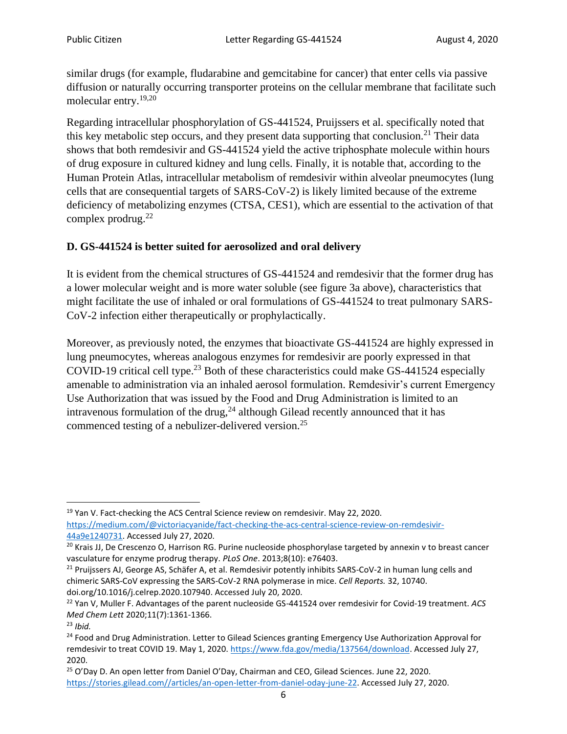similar drugs (for example, fludarabine and gemcitabine for cancer) that enter cells via passive diffusion or naturally occurring transporter proteins on the cellular membrane that facilitate such molecular entry.19,20

Regarding intracellular phosphorylation of GS-441524, Pruijssers et al. specifically noted that this key metabolic step occurs, and they present data supporting that conclusion.<sup>21</sup> Their data shows that both remdesivir and GS-441524 yield the active triphosphate molecule within hours of drug exposure in cultured kidney and lung cells. Finally, it is notable that, according to the Human Protein Atlas, intracellular metabolism of remdesivir within alveolar pneumocytes (lung cells that are consequential targets of SARS-CoV-2) is likely limited because of the extreme deficiency of metabolizing enzymes (CTSA, CES1), which are essential to the activation of that complex prodrug.<sup>22</sup>

## **D. GS-441524 is better suited for aerosolized and oral delivery**

It is evident from the chemical structures of GS-441524 and remdesivir that the former drug has a lower molecular weight and is more water soluble (see figure 3a above), characteristics that might facilitate the use of inhaled or oral formulations of GS-441524 to treat pulmonary SARS-CoV-2 infection either therapeutically or prophylactically.

Moreover, as previously noted, the enzymes that bioactivate GS-441524 are highly expressed in lung pneumocytes, whereas analogous enzymes for remdesivir are poorly expressed in that COVID-19 critical cell type. <sup>23</sup> Both of these characteristics could make GS-441524 especially amenable to administration via an inhaled aerosol formulation. Remdesivir's current Emergency Use Authorization that was issued by the Food and Drug Administration is limited to an intravenous formulation of the drug, $^{24}$  although Gilead recently announced that it has commenced testing of a nebulizer-delivered version.<sup>25</sup>

<sup>&</sup>lt;sup>19</sup> Yan V. Fact-checking the ACS Central Science review on remdesivir. May 22, 2020. [https://medium.com/@victoriacyanide/fact-checking-the-acs-central-science-review-on-remdesivir-](https://medium.com/@victoriacyanide/fact-checking-the-acs-central-science-review-on-remdesivir-44a9e1240731)[44a9e1240731.](https://medium.com/@victoriacyanide/fact-checking-the-acs-central-science-review-on-remdesivir-44a9e1240731) Accessed July 27, 2020.

<sup>&</sup>lt;sup>20</sup> Krais JJ, De Crescenzo O, Harrison RG. Purine nucleoside phosphorylase targeted by annexin v to breast cancer vasculature for enzyme prodrug therapy. *PLoS One*. 2013;8(10): e76403.

<sup>&</sup>lt;sup>21</sup> Pruijssers AJ, George AS, Schäfer A, et al. Remdesivir potently inhibits SARS-CoV-2 in human lung cells and chimeric SARS-CoV expressing the SARS-CoV-2 RNA polymerase in mice. *Cell Reports.* 32, 10740. doi.org/10.1016/j.celrep.2020.107940. Accessed July 20, 2020.

<sup>22</sup> Yan V, Muller F. Advantages of the parent nucleoside GS-441524 over remdesivir for Covid-19 treatment. *ACS Med Chem Lett* 2020;11(7):1361-1366.

<sup>23</sup> *Ibid.*

<sup>&</sup>lt;sup>24</sup> Food and Drug Administration. Letter to Gilead Sciences granting Emergency Use Authorization Approval for remdesivir to treat COVID 19. May 1, 2020. [https://www.fda.gov/media/137564/download.](https://www.fda.gov/media/137564/download) Accessed July 27, 2020.

<sup>&</sup>lt;sup>25</sup> O'Day D. An open letter from Daniel O'Day, Chairman and CEO, Gilead Sciences. June 22, 2020. [https://stories.gilead.com//articles/an-open-letter-from-daniel-oday-june-22.](https://stories.gilead.com/articles/an-open-letter-from-daniel-oday-june-22) Accessed July 27, 2020.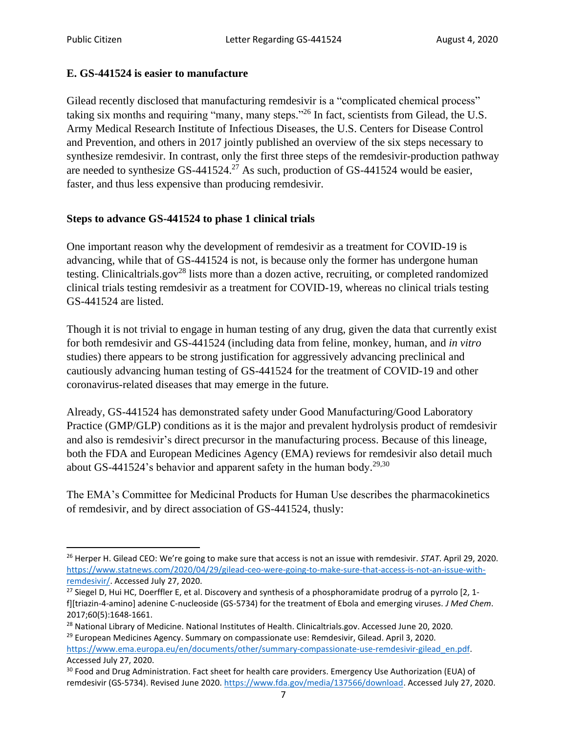#### **E. GS-441524 is easier to manufacture**

Gilead recently disclosed that manufacturing remdesivir is a "complicated chemical process" taking six months and requiring "many, many steps."<sup>26</sup> In fact, scientists from Gilead, the U.S. Army Medical Research Institute of Infectious Diseases, the U.S. Centers for Disease Control and Prevention, and others in 2017 jointly published an overview of the six steps necessary to synthesize remdesivir. In contrast, only the first three steps of the remdesivir-production pathway are needed to synthesize  $GS-441524$ .<sup>27</sup> As such, production of  $GS-441524$  would be easier, faster, and thus less expensive than producing remdesivir.

### **Steps to advance GS-441524 to phase 1 clinical trials**

One important reason why the development of remdesivir as a treatment for COVID-19 is advancing, while that of GS-441524 is not, is because only the former has undergone human testing. Clinicaltrials.gov<sup>28</sup> lists more than a dozen active, recruiting, or completed randomized clinical trials testing remdesivir as a treatment for COVID-19, whereas no clinical trials testing GS-441524 are listed.

Though it is not trivial to engage in human testing of any drug, given the data that currently exist for both remdesivir and GS-441524 (including data from feline, monkey, human, and *in vitro* studies) there appears to be strong justification for aggressively advancing preclinical and cautiously advancing human testing of GS-441524 for the treatment of COVID-19 and other coronavirus-related diseases that may emerge in the future.

Already, GS-441524 has demonstrated safety under Good Manufacturing/Good Laboratory Practice (GMP/GLP) conditions as it is the major and prevalent hydrolysis product of remdesivir and also is remdesivir's direct precursor in the manufacturing process. Because of this lineage, both the FDA and European Medicines Agency (EMA) reviews for remdesivir also detail much about GS-441524's behavior and apparent safety in the human body.<sup>29,30</sup>

The EMA's Committee for Medicinal Products for Human Use describes the pharmacokinetics of remdesivir, and by direct association of GS-441524, thusly:

<sup>29</sup> European Medicines Agency. Summary on compassionate use: Remdesivir, Gilead. April 3, 2020. [https://www.ema.europa.eu/en/documents/other/summary-compassionate-use-remdesivir-gilead\\_en.pdf.](https://www.ema.europa.eu/en/documents/other/summary-compassionate-use-remdesivir-gilead_en.pdf) Accessed July 27, 2020.

<sup>26</sup> Herper H. Gilead CEO: We're going to make sure that access is not an issue with remdesivir. *STAT*. April 29, 2020. [https://www.statnews.com/2020/04/29/gilead-ceo-were-going-to-make-sure-that-access-is-not-an-issue-with](https://www.statnews.com/2020/04/29/gilead-ceo-were-going-to-make-sure-that-access-is-not-an-issue-with-remdesivir/)[remdesivir/.](https://www.statnews.com/2020/04/29/gilead-ceo-were-going-to-make-sure-that-access-is-not-an-issue-with-remdesivir/) Accessed July 27, 2020.

<sup>&</sup>lt;sup>27</sup> Siegel D, Hui HC, Doerffler E, et al. Discovery and synthesis of a phosphoramidate prodrug of a pyrrolo [2, 1f][triazin-4-amino] adenine C-nucleoside (GS-5734) for the treatment of Ebola and emerging viruses. *J Med Chem*. 2017;60(5):1648-1661.

<sup>&</sup>lt;sup>28</sup> National Library of Medicine. National Institutes of Health. Clinicaltrials.gov. Accessed June 20, 2020.

<sup>&</sup>lt;sup>30</sup> Food and Drug Administration. Fact sheet for health care providers. Emergency Use Authorization (EUA) of remdesivir (GS-5734). Revised June 2020. [https://www.fda.gov/media/137566/download.](https://www.fda.gov/media/137566/download) Accessed July 27, 2020.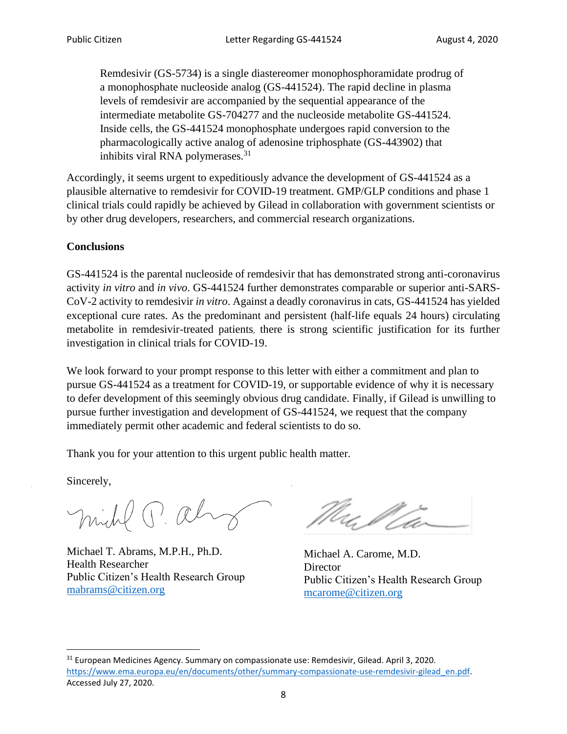Remdesivir (GS-5734) is a single diastereomer monophosphoramidate prodrug of a monophosphate nucleoside analog (GS-441524). The rapid decline in plasma levels of remdesivir are accompanied by the sequential appearance of the intermediate metabolite GS-704277 and the nucleoside metabolite GS-441524. Inside cells, the GS-441524 monophosphate undergoes rapid conversion to the pharmacologically active analog of adenosine triphosphate (GS-443902) that inhibits viral RNA polymerases.<sup>31</sup>

Accordingly, it seems urgent to expeditiously advance the development of GS-441524 as a plausible alternative to remdesivir for COVID-19 treatment. GMP/GLP conditions and phase 1 clinical trials could rapidly be achieved by Gilead in collaboration with government scientists or by other drug developers, researchers, and commercial research organizations.

#### **Conclusions**

GS-441524 is the parental nucleoside of remdesivir that has demonstrated strong anti-coronavirus activity *in vitro* and *in vivo*. GS-441524 further demonstrates comparable or superior anti-SARS-CoV-2 activity to remdesivir *in vitro*. Against a deadly coronavirus in cats, GS-441524 has yielded exceptional cure rates. As the predominant and persistent (half-life equals 24 hours) circulating metabolite in remdesivir-treated patients, there is strong scientific justification for its further investigation in clinical trials for COVID-19.

We look forward to your prompt response to this letter with either a commitment and plan to pursue GS-441524 as a treatment for COVID-19, or supportable evidence of why it is necessary to defer development of this seemingly obvious drug candidate. Finally, if Gilead is unwilling to pursue further investigation and development of GS-441524, we request that the company immediately permit other academic and federal scientists to do so.

Thank you for your attention to this urgent public health matter.

Sincerely,

midd P. al

Michael T. Abrams, M.P.H., Ph.D. Health Researcher Public Citizen's Health Research Group [mabrams@citizen.org](mailto:mabrams@citizen.org)

Michael A. Carome, M.D. **Director** Public Citizen's Health Research Group [mcarome@citizen.org](mailto:mcarome@citizen.org)

<sup>31</sup> European Medicines Agency. Summary on compassionate use: Remdesivir, Gilead. April 3, 2020. [https://www.ema.europa.eu/en/documents/other/summary-compassionate-use-remdesivir-gilead\\_en.pdf.](https://www.ema.europa.eu/en/documents/other/summary-compassionate-use-remdesivir-gilead_en.pdf) Accessed July 27, 2020.